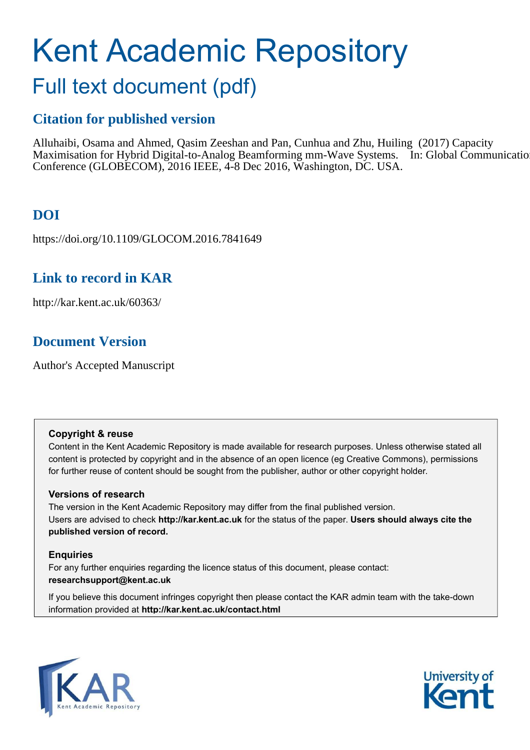# Kent Academic Repository

# Full text document (pdf)

## **Citation for published version**

Alluhaibi, Osama and Ahmed, Qasim Zeeshan and Pan, Cunhua and Zhu, Huiling (2017) Capacity Maximisation for Hybrid Digital-to-Analog Beamforming mm-Wave Systems. In: Global Communicatio Conference (GLOBECOM), 2016 IEEE, 4-8 Dec 2016, Washington, DC. USA.

# **DOI**

https://doi.org/10.1109/GLOCOM.2016.7841649

### **Link to record in KAR**

http://kar.kent.ac.uk/60363/

### **Document Version**

Author's Accepted Manuscript

#### **Copyright & reuse**

Content in the Kent Academic Repository is made available for research purposes. Unless otherwise stated all content is protected by copyright and in the absence of an open licence (eg Creative Commons), permissions for further reuse of content should be sought from the publisher, author or other copyright holder.

#### **Versions of research**

The version in the Kent Academic Repository may differ from the final published version. Users are advised to check **http://kar.kent.ac.uk** for the status of the paper. **Users should always cite the published version of record.**

#### **Enquiries**

For any further enquiries regarding the licence status of this document, please contact: **researchsupport@kent.ac.uk**

If you believe this document infringes copyright then please contact the KAR admin team with the take-down information provided at **http://kar.kent.ac.uk/contact.html**



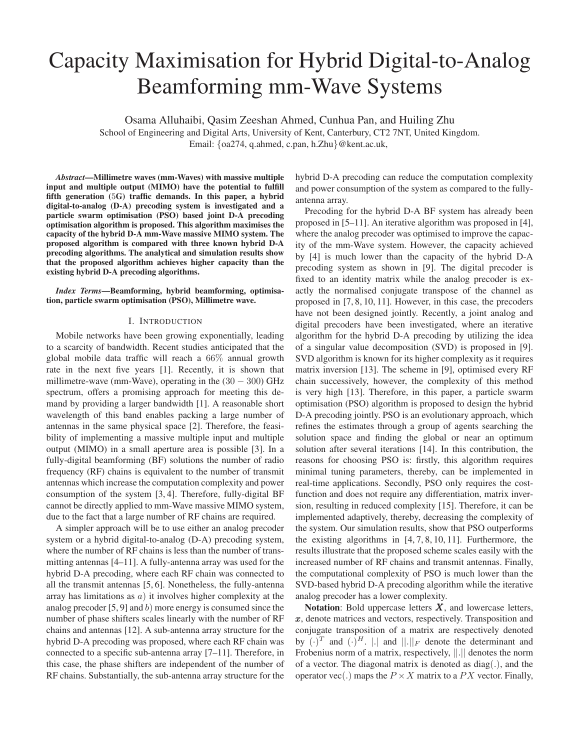# Capacity Maximisation for Hybrid Digital-to-Analog Beamforming mm-Wave Systems

Osama Alluhaibi, Qasim Zeeshan Ahmed, Cunhua Pan, and Huiling Zhu School of Engineering and Digital Arts, University of Kent, Canterbury, CT2 7NT, United Kingdom.

Email: {oa274, q.ahmed, c.pan, h.Zhu}@kent.ac.uk,

*Abstract***—Millimetre waves (mm-Waves) with massive multiple input and multiple output (MIMO) have the potential to fulfill fifth generation (**5**G) traffic demands. In this paper, a hybrid digital-to-analog (D-A) precoding system is investigated and a particle swarm optimisation (PSO) based joint D-A precoding optimisation algorithm is proposed. This algorithm maximises the capacity of the hybrid D-A mm-Wave massive MIMO system. The proposed algorithm is compared with three known hybrid D-A precoding algorithms. The analytical and simulation results show that the proposed algorithm achieves higher capacity than the existing hybrid D-A precoding algorithms.**

*Index Terms***—Beamforming, hybrid beamforming, optimisation, particle swarm optimisation (PSO), Millimetre wave.**

#### I. INTRODUCTION

Mobile networks have been growing exponentially, leading to a scarcity of bandwidth. Recent studies anticipated that the global mobile data traffic will reach a 66% annual growth rate in the next five years [1]. Recently, it is shown that millimetre-wave (mm-Wave), operating in the  $(30 - 300)$  GHz spectrum, offers a promising approach for meeting this demand by providing a larger bandwidth [1]. A reasonable short wavelength of this band enables packing a large number of antennas in the same physical space [2]. Therefore, the feasibility of implementing a massive multiple input and multiple output (MIMO) in a small aperture area is possible [3]. In a fully-digital beamforming (BF) solutions the number of radio frequency (RF) chains is equivalent to the number of transmit antennas which increase the computation complexity and power consumption of the system [3, 4]. Therefore, fully-digital BF cannot be directly applied to mm-Wave massive MIMO system, due to the fact that a large number of RF chains are required.

A simpler approach will be to use either an analog precoder system or a hybrid digital-to-analog (D-A) precoding system, where the number of RF chains is less than the number of transmitting antennas [4–11]. A fully-antenna array was used for the hybrid D-A precoding, where each RF chain was connected to all the transmit antennas [5, 6]. Nonetheless, the fully-antenna array has limitations as  $a$ ) it involves higher complexity at the analog precoder  $[5, 9]$  and b) more energy is consumed since the number of phase shifters scales linearly with the number of RF chains and antennas [12]. A sub-antenna array structure for the hybrid D-A precoding was proposed, where each RF chain was connected to a specific sub-antenna array [7–11]. Therefore, in this case, the phase shifters are independent of the number of RF chains. Substantially, the sub-antenna array structure for the hybrid D-A precoding can reduce the computation complexity and power consumption of the system as compared to the fullyantenna array.

Precoding for the hybrid D-A BF system has already been proposed in [5–11]. An iterative algorithm was proposed in [4], where the analog precoder was optimised to improve the capacity of the mm-Wave system. However, the capacity achieved by [4] is much lower than the capacity of the hybrid D-A precoding system as shown in [9]. The digital precoder is fixed to an identity matrix while the analog precoder is exactly the normalised conjugate transpose of the channel as proposed in [7, 8, 10, 11]. However, in this case, the precoders have not been designed jointly. Recently, a joint analog and digital precoders have been investigated, where an iterative algorithm for the hybrid D-A precoding by utilizing the idea of a singular value decomposition (SVD) is proposed in [9]. SVD algorithm is known for its higher complexity as it requires matrix inversion [13]. The scheme in [9], optimised every RF chain successively, however, the complexity of this method is very high [13]. Therefore, in this paper, a particle swarm optimisation (PSO) algorithm is proposed to design the hybrid D-A precoding jointly. PSO is an evolutionary approach, which refines the estimates through a group of agents searching the solution space and finding the global or near an optimum solution after several iterations [14]. In this contribution, the reasons for choosing PSO is: firstly, this algorithm requires minimal tuning parameters, thereby, can be implemented in real-time applications. Secondly, PSO only requires the costfunction and does not require any differentiation, matrix inversion, resulting in reduced complexity [15]. Therefore, it can be implemented adaptively, thereby, decreasing the complexity of the system. Our simulation results, show that PSO outperforms the existing algorithms in [4, 7, 8, 10, 11]. Furthermore, the results illustrate that the proposed scheme scales easily with the increased number of RF chains and transmit antennas. Finally, the computational complexity of PSO is much lower than the SVD-based hybrid D-A precoding algorithm while the iterative analog precoder has a lower complexity.

**Notation**: Bold uppercase letters  $X$ , and lowercase letters,  $x$ , denote matrices and vectors, respectively. Transposition and conjugate transposition of a matrix are respectively denoted by  $(\cdot)^T$  and  $(\cdot)^H$ . | | and || ||<sub>F</sub> denote the determinant and Frobenius norm of a matrix, respectively, ∣∣.∣∣ denotes the norm of a vector. The diagonal matrix is denoted as diag(.), and the operator vec(.) maps the  $P \times X$  matrix to a  $PX$  vector. Finally,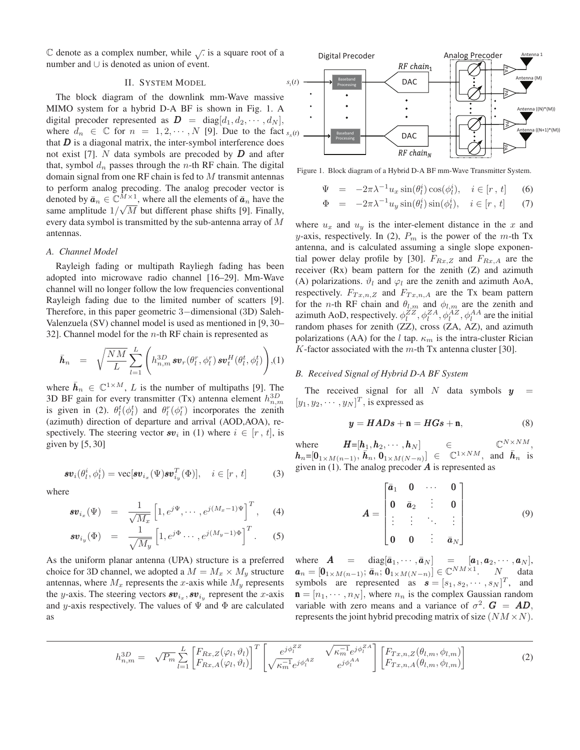$\mathbb C$  denote as a complex number, while  $\sqrt{\cdot}$  is a square root of a number and ∪ is denoted as union of event.

#### II. SYSTEM MODEL

The block diagram of the downlink mm-Wave massive MIMO system for a hybrid D-A BF is shown in Fig. 1. A digital precoder represented as  $\mathbf{D} = \text{diag}[d_1, d_2, \cdots, d_N],$ where  $d_n \in \mathbb{C}$  for  $n = 1, 2, \cdots, N$  [9]. Due to the fact  $s_n(t)$ that  $D$  is a diagonal matrix, the inter-symbol interference does not exist [7].  $N$  data symbols are precoded by  $D$  and after that, symbol  $d_n$  passes through the n-th RF chain. The digital domain signal from one RF chain is fed to  $M$  transmit antennas to perform analog precoding. The analog precoder vector is denoted by  $\bar{a}_n \in \mathbb{C}^{\bar{M} \times 1}$ , where all the elements of  $\bar{a}_n$  have the same amplitude  $1/\sqrt{M}$  but different phase shifts [9]. Finally, every data symbol is transmitted by the sub-antenna array of  $M$ antennas.

#### *A. Channel Model*

Rayleigh fading or multipath Rayliegh fading has been adopted into microwave radio channel [16–29]. Mm-Wave channel will no longer follow the low frequencies conventional Rayleigh fading due to the limited number of scatters [9]. Therefore, in this paper geometric 3−dimensional (3D) Saleh-Valenzuela (SV) channel model is used as mentioned in [9, 30– 32]. Channel model for the  $n$ -th RF chain is represented as

$$
\bar{\boldsymbol{h}}_n = \sqrt{\frac{NM}{L}} \sum_{l=1}^L \left( h_{n,m}^{3D} \boldsymbol{s} \boldsymbol{v}_r(\theta_l^r, \phi_l^r) \boldsymbol{s} \boldsymbol{v}_t^H(\theta_l^t, \phi_l^t) \right), (1)
$$

where  $\bar{h}_n \in \mathbb{C}^{1 \times M}$ , L is the number of multipaths [9]. The 3D BF gain for every transmitter (Tx) antenna element  $h_{n,m}^{3D}$ is given in (2).  $\theta_l^t(\phi_l^t)$  and  $\theta_l^r(\phi_l^r)$  incorporates the zenith (azimuth) direction of departure and arrival (AOD,AOA), respectively. The steering vector  $s v_i$  in (1) where  $i \in [r, t]$ , is given by  $[5, 30]$ 

$$
\boldsymbol{sv}_i(\theta_t^i, \phi_t^i) = \text{vec}[\boldsymbol{sv}_{i_x}(\Psi) \boldsymbol{sv}_{i_y}^T(\Phi)], \quad i \in [r, t]
$$
 (3)

where

$$
sv_{i_x}(\Psi) = \frac{1}{\sqrt{M_x}} \left[ 1, e^{j\Psi}, \cdots, e^{j(M_x-1)\Psi} \right]^T, \quad (4)
$$

$$
\boldsymbol{s}\boldsymbol{v}_{i_y}(\boldsymbol{\Phi}) = \frac{1}{\sqrt{M_y}} \left[ 1, e^{j\boldsymbol{\Phi}} \cdots, e^{j(M_y-1)\boldsymbol{\Phi}} \right]^T. \tag{5}
$$

As the uniform planar antenna (UPA) structure is a preferred choice for 3D channel, we adopted a  $M = M_x \times M_y$  structure antennas, where  $M_x$  represents the x-axis while  $M_y$  represents the y-axis. The steering vectors  $sv_{i_x}$ ,  $sv_{i_y}$  represent the x-axis and y-axis respectively. The values of  $\Psi$  and  $\Phi$  are calculated as



Figure 1. Block diagram of a Hybrid D-A BF mm-Wave Transmitter System.

$$
\Psi = -2\pi\lambda^{-1}u_x\sin(\theta_l^i)\cos(\phi_l^i), \quad i \in [r, t]
$$
 (6)

$$
\Phi = -2\pi \lambda^{-1} u_y \sin(\theta_l^i) \sin(\phi_l^i), \quad i \in [r, t] \tag{7}
$$

where  $u_x$  and  $u_y$  is the inter-element distance in the x and y-axis, respectively. In (2),  $P_m$  is the power of the m-th Tx antenna, and is calculated assuming a single slope exponential power delay profile by [30].  $F_{Rx,Z}$  and  $F_{Rx,A}$  are the receiver (Rx) beam pattern for the zenith (Z) and azimuth (A) polarizations.  $\vartheta_l$  and  $\varphi_l$  are the zenith and azimuth AoA, respectively.  $F_{Tx,n,Z}$  and  $F_{Tx,n,A}$  are the Tx beam pattern for the *n*-th RF chain and  $\theta_{l,m}$  and  $\phi_{l,m}$  are the zenith and azimuth AoD, respectively.  $\phi_l^{ZZ}, \phi_l^{ZA}, \phi_l^{AZ}, \phi_l^{AA}$  are the initial random phases for zenith (ZZ), cross (ZA, AZ), and azimuth polarizations (AA) for the  $l$  tap.  $\kappa_m$  is the intra-cluster Rician  $K$ -factor associated with the  $m$ -th Tx antenna cluster [30].

#### *B. Received Signal of Hybrid D-A BF System*

The received signal for all  $N$  data symbols  $y$  $[y_1, y_2, \cdots, y_N]^T$ , is expressed as

$$
y = HADs + n = HGs + n,\tag{8}
$$

where  $\bm{H} = [\bm{h}_1, \bm{h}_2, \cdots, \bm{h}_N]$   $\in$   $\mathbb{C}^{N \times NM}$ ,  $h_n=[0_{1\times M(n-1)}, \bar{h}_n, 0_{1\times M(N-n)}] \in \mathbb{C}^{1\times NM}$ , and  $\bar{h}_n$  is given in (1). The analog precoder  $\boldsymbol{A}$  is represented as

$$
A = \begin{bmatrix} \bar{a}_1 & 0 & \cdots & 0 \\ 0 & \bar{a}_2 & \vdots & 0 \\ \vdots & \vdots & \ddots & \vdots \\ 0 & 0 & \vdots & \bar{a}_N \end{bmatrix} \tag{9}
$$

where  $\mathbf{A} = \text{diag}[\bar{a}_1, \cdots, \bar{a}_N] = [\mathbf{a}_1, \mathbf{a}_2, \cdots, \mathbf{a}_N],$ <br>  $\mathbf{a}_n = [\mathbf{0}_{1 \times M(n-1)}; \bar{\mathbf{a}}_n; \mathbf{0}_{1 \times M(N-n)}] \in \mathbb{C}^{NM \times 1}$ . N data  $\boldsymbol{a}_n = [\mathbf{0}_{1 \times M(n-1)}; \bar{\boldsymbol{a}}_n; \mathbf{0}_{1 \times M(N-n)}] \in \mathbb{C}^{NM \times 1}$ . N data symbols are represented as  $\mathbf{s} = [s_1, s_2, \cdots, s_N]^T$ , and **, where**  $n<sub>n</sub>$  **is the complex Gaussian random** variable with zero means and a variance of  $\sigma^2$ .  $\mathbf{G} = \mathbf{A}\mathbf{D}$ , represents the joint hybrid precoding matrix of size  $(NM \times N)$ .

$$
h_{n,m}^{3D} = \sqrt{P_m} \sum_{l=1}^{L} \begin{bmatrix} F_{Rx,Z}(\varphi_l, \vartheta_l) \\ F_{Rx,A}(\varphi_l, \vartheta_l) \end{bmatrix}^T \begin{bmatrix} e^{j\phi_l^{ZZ}} & \sqrt{\kappa_m^{-1}} e^{j\phi_l^{ZA}} \\ \sqrt{\kappa_m^{-1}} e^{j\phi_l^{AZ}} & e^{j\phi_l^{AA}} \end{bmatrix} \begin{bmatrix} F_{Tx,n,Z}(\theta_{l,m}, \varphi_{l,m}) \\ F_{Tx,n,A}(\theta_{l,m}, \varphi_{l,m}) \end{bmatrix}
$$
(2)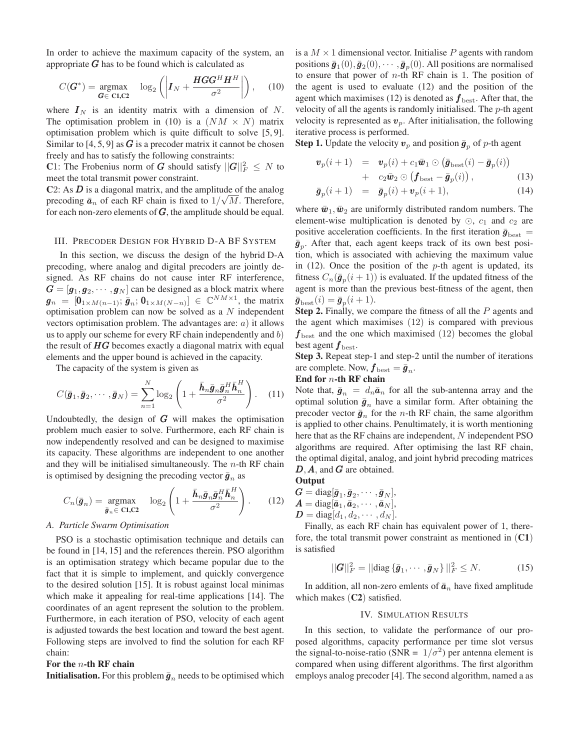In order to achieve the maximum capacity of the system, an appropriate  $G$  has to be found which is calculated as

$$
C(\boldsymbol{G}^*) = \underset{\boldsymbol{G} \in \ \text{C1}, \text{C2}}{\text{argmax}} \quad \log_2\left(\left|\boldsymbol{I}_N + \frac{\boldsymbol{H}\boldsymbol{G}\boldsymbol{G}^H\boldsymbol{H}^H}{\sigma^2}\right|\right), \quad (10)
$$

where  $I_N$  is an identity matrix with a dimension of N. The optimisation problem in (10) is a  $(NM \times N)$  matrix optimisation problem which is quite difficult to solve [5, 9]. Similar to [4, 5, 9] as  $\boldsymbol{G}$  is a precoder matrix it cannot be chosen freely and has to satisfy the following constraints:

**C**1: The Frobenius norm of **G** should satisfy  $||G||_F^2 \leq N$  to meet the total transmit power constraint.

C2: As  $\overline{D}$  is a diagonal matrix, and the amplitude of the analog precoding  $\bar{a}_n$  of each RF chain is fixed to  $1/\sqrt{M}$ . Therefore, for each non-zero elements of  $G$ , the amplitude should be equal.

#### III. PRECODER DESIGN FOR HYBRID D-A BF SYSTEM

In this section, we discuss the design of the hybrid D-A precoding, where analog and digital precoders are jointly designed. As RF chains do not cause inter RF interference,  $G = [g_1, g_2, \cdots, g_N]$  can be designed as a block matrix where  $\mathbf{g}_n = [\mathbf{0}_{1 \times M(n-1)}; \bar{\mathbf{g}}_n; \mathbf{0}_{1 \times M(N-n)}] \in \mathbb{C}^{NM \times 1}$ , the matrix optimisation problem can now be solved as a  $N$  independent vectors optimisation problem. The advantages are:  $a$ ) it allows us to apply our scheme for every RF chain independently and  $b$ ) the result of  $HG$  becomes exactly a diagonal matrix with equal elements and the upper bound is achieved in the capacity.

The capacity of the system is given as

$$
C(\bar{\boldsymbol{g}}_1, \bar{\boldsymbol{g}}_2, \cdots, \bar{\boldsymbol{g}}_N) = \sum_{n=1}^N \log_2 \left( 1 + \frac{\bar{\boldsymbol{h}}_n \bar{\boldsymbol{g}}_n \bar{\boldsymbol{g}}_n^H \bar{\boldsymbol{h}}_n^H}{\sigma^2} \right). \quad (11)
$$

Undoubtedly, the design of  $G$  will makes the optimisation problem much easier to solve. Furthermore, each RF chain is now independently resolved and can be designed to maximise its capacity. These algorithms are independent to one another and they will be initialised simultaneously. The  $n$ -th RF chain is optimised by designing the precoding vector  $\bar{g}_n$  as

$$
C_n(\bar{\boldsymbol{g}}_n) = \underset{\bar{\boldsymbol{g}}_n \in \text{Cl}, \text{Cl}}{\text{argmax}} \quad \log_2 \left( 1 + \frac{\bar{\boldsymbol{h}}_n \bar{\boldsymbol{g}}_n \bar{\boldsymbol{g}}_n^H \bar{\boldsymbol{h}}_n^H}{\sigma^2} \right). \tag{12}
$$

#### *A. Particle Swarm Optimisation*

PSO is a stochastic optimisation technique and details can be found in [14, 15] and the references therein. PSO algorithm is an optimisation strategy which became popular due to the fact that it is simple to implement, and quickly convergence to the desired solution [15]. It is robust against local minimas which make it appealing for real-time applications [14]. The coordinates of an agent represent the solution to the problem. Furthermore, in each iteration of PSO, velocity of each agent is adjusted towards the best location and toward the best agent. Following steps are involved to find the solution for each RF chain:

#### For the *n*-th RF chain

**Initialisation.** For this problem  $\bar{g}_n$  needs to be optimised which

is a  $M \times 1$  dimensional vector. Initialise P agents with random positions  $\bar{\bm{g}}_1(0), \bar{\bm{g}}_2(0), \cdots, \bar{\bm{g}}_p(0)$ . All positions are normalised to ensure that power of  $n$ -th RF chain is 1. The position of the agent is used to evaluate (12) and the position of the agent which maximises (12) is denoted as  $f_{\text{best}}$ . After that, the velocity of all the agents is randomly initialised. The  $p$ -th agent velocity is represented as  $v_p$ . After initialisation, the following iterative process is performed.

**Step 1.** Update the velocity  $v_p$  and position  $\bar{g}_p$  of p-th agent

$$
\begin{array}{rcl}\n\boldsymbol{v}_p(i+1) & = & \boldsymbol{v}_p(i) + c_1 \bar{\boldsymbol{w}}_1 \odot \left( \bar{\boldsymbol{g}}_{\text{best}}(i) - \bar{\boldsymbol{g}}_p(i) \right) \\
& + & c_2 \bar{\boldsymbol{w}}_2 \odot \left( \boldsymbol{f}_{\text{best}} - \bar{\boldsymbol{g}}_p(i) \right),\n\end{array} \tag{13}
$$

$$
\bar{\boldsymbol{g}}_p(i+1) = \bar{\boldsymbol{g}}_p(i) + \boldsymbol{v}_p(i+1), \tag{14}
$$

where  $\bar{\mathbf{w}}_1, \bar{\mathbf{w}}_2$  are uniformly distributed random numbers. The element-wise multiplication is denoted by  $\odot$ ,  $c_1$  and  $c_2$  are positive acceleration coefficients. In the first iteration  $\bar{\boldsymbol{g}}_{\text{best}} =$  $\bar{\boldsymbol{g}}_p$ . After that, each agent keeps track of its own best position, which is associated with achieving the maximum value in (12). Once the position of the  $p$ -th agent is updated, its fitness  $C_n(\bar{\mathbf{g}}_p(i+1))$  is evaluated. If the updated fitness of the agent is more than the previous best-fitness of the agent, then  $\bar{\boldsymbol{g}}_{\mathrm{best}}(i) = \bar{\boldsymbol{g}}_p(i+1).$ 

**Step 2.** Finally, we compare the fitness of all the  $P$  agents and the agent which maximises (12) is compared with previous  $f_{\text{best}}$  and the one which maximised (12) becomes the global best agent  $f_{\text{best}}$ .

**Step 3.** Repeat step-1 and step-2 until the number of iterations are complete. Now,  $f_{\text{best}} = \bar{g}_n$ .

#### End for *n*-th RF chain

Note that,  $\bar{\boldsymbol{g}}_n = d_n \bar{\boldsymbol{a}}_n$  for all the sub-antenna array and the optimal solution  $\bar{g}_n$  have a similar form. After obtaining the precoder vector  $\bar{g}_n$  for the *n*-th RF chain, the same algorithm is applied to other chains. Penultimately, it is worth mentioning here that as the RF chains are independent,  $N$  independent PSO algorithms are required. After optimising the last RF chain, the optimal digital, analog, and joint hybrid precoding matrices  $D, A$ , and  $G$  are obtained.

#### **Output**

 $\boldsymbol{G} = \text{diag}[\bar{\boldsymbol{g}}_1, \bar{\boldsymbol{g}}_2, \cdots, \bar{\boldsymbol{g}}_N],$  $\bm{A}=\text{diag}[\bar{\bm{a}}_1,\bar{\bm{a}}_2,\cdots,\bar{\bm{a}}_N],$  $\boldsymbol{D} = \text{diag}[d_1, d_2, \cdots, d_N].$ 

Finally, as each RF chain has equivalent power of 1, therefore, the total transmit power constraint as mentioned in (**C1**) is satisfied

$$
||G||_F^2 = ||\text{diag}\{\bar{g}_1, \cdots, \bar{g}_N\}||_F^2 \le N. \tag{15}
$$

In addition, all non-zero emlents of  $\bar{a}_n$  have fixed amplitude which makes (**C2**) satisfied.

#### IV. SIMULATION RESULTS

In this section, to validate the performance of our proposed algorithms, capacity performance per time slot versus the signal-to-noise-ratio (SNR =  $1/\sigma^2$ ) per antenna element is compared when using different algorithms. The first algorithm employs analog precoder [4]. The second algorithm, named a as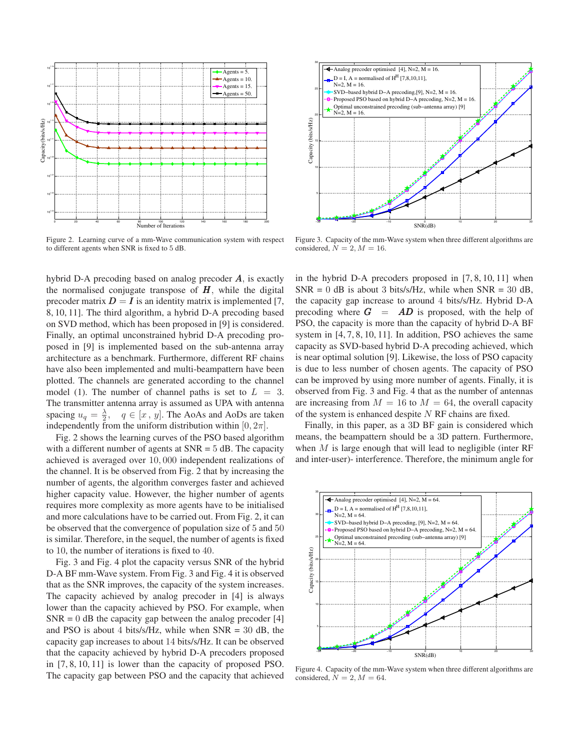

Figure 2. Learning curve of a mm-Wave communication system with respect to different agents when SNR is fixed to 5 dB.

hybrid D-A precoding based on analog precoder  $\boldsymbol{A}$ , is exactly the normalised conjugate transpose of  $H$ , while the digital precoder matrix  $D = I$  is an identity matrix is implemented [7, 8, 10, 11]. The third algorithm, a hybrid D-A precoding based on SVD method, which has been proposed in [9] is considered. Finally, an optimal unconstrained hybrid D-A precoding proposed in [9] is implemented based on the sub-antenna array architecture as a benchmark. Furthermore, different RF chains have also been implemented and multi-beampattern have been plotted. The channels are generated according to the channel model (1). The number of channel paths is set to  $L = 3$ . The transmitter antenna array is assumed as UPA with antenna spacing  $u_q = \frac{\lambda}{2}$ ,  $q \in [x, y]$ . The AoAs and AoDs are taken independently from the uniform distribution within  $[0, 2\pi]$ .

Fig. 2 shows the learning curves of the PSO based algorithm with a different number of agents at SNR = 5 dB. The capacity achieved is averaged over 10, 000 independent realizations of the channel. It is be observed from Fig. 2 that by increasing the number of agents, the algorithm converges faster and achieved higher capacity value. However, the higher number of agents requires more complexity as more agents have to be initialised and more calculations have to be carried out. From Fig. 2, it can be observed that the convergence of population size of 5 and 50 is similar. Therefore, in the sequel, the number of agents is fixed to 10, the number of iterations is fixed to 40.

Fig. 3 and Fig. 4 plot the capacity versus SNR of the hybrid D-A BF mm-Wave system. From Fig. 3 and Fig. 4 it is observed that as the SNR improves, the capacity of the system increases. The capacity achieved by analog precoder in [4] is always lower than the capacity achieved by PSO. For example, when  $SNR = 0$  dB the capacity gap between the analog precoder [4] and PSO is about 4 bits/s/Hz, while when  $SNR = 30$  dB, the capacity gap increases to about 14 bits/s/Hz. It can be observed that the capacity achieved by hybrid D-A precoders proposed in [7, 8, 10, 11] is lower than the capacity of proposed PSO. The capacity gap between PSO and the capacity that achieved



Figure 3. Capacity of the mm-Wave system when three different algorithms are considered,  $N = 2, M = 16$ .

in the hybrid D-A precoders proposed in [7, 8, 10, 11] when  $SNR = 0$  dB is about 3 bits/s/Hz, while when  $SNR = 30$  dB, the capacity gap increase to around 4 bits/s/Hz. Hybrid D-A precoding where  $G = AD$  is proposed, with the help of PSO, the capacity is more than the capacity of hybrid D-A BF system in [4, 7, 8, 10, 11]. In addition, PSO achieves the same capacity as SVD-based hybrid D-A precoding achieved, which is near optimal solution [9]. Likewise, the loss of PSO capacity is due to less number of chosen agents. The capacity of PSO can be improved by using more number of agents. Finally, it is observed from Fig. 3 and Fig. 4 that as the number of antennas are increasing from  $M = 16$  to  $M = 64$ , the overall capacity of the system is enhanced despite  $N$  RF chains are fixed.

Finally, in this paper, as a 3D BF gain is considered which means, the beampattern should be a 3D pattern. Furthermore, when  $M$  is large enough that will lead to negligible (inter RF and inter-user)- interference. Therefore, the minimum angle for



Figure 4. Capacity of the mm-Wave system when three different algorithms are considered,  $N = 2, M = 64$ .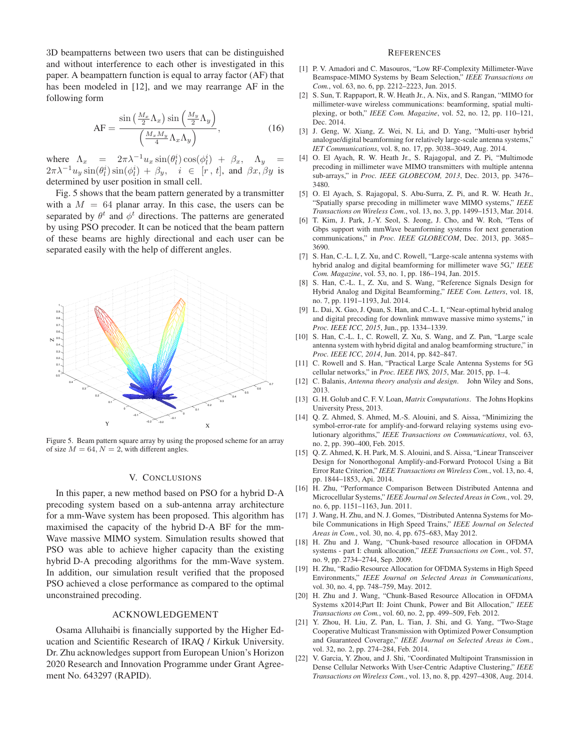3D beampatterns between two users that can be distinguished and without interference to each other is investigated in this paper. A beampattern function is equal to array factor (AF) that has been modeled in [12], and we may rearrange AF in the following form

$$
AF = \frac{\sin\left(\frac{M_x}{2}\Lambda_x\right)\sin\left(\frac{M_y}{2}\Lambda_y\right)}{\left(\frac{M_x M_y}{4}\Lambda_x \Lambda_y\right)},\tag{16}
$$

where  $\Lambda_x = 2\pi\lambda^{-1}u_x \sin(\theta_i^i) \cos(\phi_i^i) + \beta_x$ ,  $\Lambda_y =$  $2\pi\lambda^{-1}u_y\sin(\theta_l^i)\sin(\phi_l^i) + \beta_y$ ,  $i \in [r, t]$ , and  $\beta_x, \beta_y$  is determined by user position in small cell.

Fig. 5 shows that the beam pattern generated by a transmitter with a  $M = 64$  planar array. In this case, the users can be separated by  $\theta^t$  and  $\phi^t$  directions. The patterns are generated by using PSO precoder. It can be noticed that the beam pattern of these beams are highly directional and each user can be separated easily with the help of different angles.



Figure 5. Beam pattern square array by using the proposed scheme for an array of size  $M = 64, N = 2$ , with different angles.

#### V. CONCLUSIONS

In this paper, a new method based on PSO for a hybrid D-A precoding system based on a sub-antenna array architecture for a mm-Wave system has been proposed. This algorithm has maximised the capacity of the hybrid D-A BF for the mm-Wave massive MIMO system. Simulation results showed that PSO was able to achieve higher capacity than the existing hybrid D-A precoding algorithms for the mm-Wave system. In addition, our simulation result verified that the proposed PSO achieved a close performance as compared to the optimal unconstrained precoding.

#### ACKNOWLEDGEMENT

Osama Alluhaibi is financially supported by the Higher Education and Scientific Research of IRAQ / Kirkuk University. Dr. Zhu acknowledges support from European Union's Horizon 2020 Research and Innovation Programme under Grant Agreement No. 643297 (RAPID).

#### **REFERENCES**

- [1] P. V. Amadori and C. Masouros, "Low RF-Complexity Millimeter-Wave Beamspace-MIMO Systems by Beam Selection," *IEEE Transactions on Com.*, vol. 63, no. 6, pp. 2212–2223, Jun. 2015.
- [2] S. Sun, T. Rappaport, R. W. Heath Jr., A. Nix, and S. Rangan, "MIMO for millimeter-wave wireless communications: beamforming, spatial multiplexing, or both," *IEEE Com. Magazine*, vol. 52, no. 12, pp. 110–121, Dec. 2014.
- [3] J. Geng, W. Xiang, Z. Wei, N. Li, and D. Yang, "Multi-user hybrid analogue/digital beamforming for relatively large-scale antenna systems," *IET Communications*, vol. 8, no. 17, pp. 3038–3049, Aug. 2014.
- [4] O. El Ayach, R. W. Heath Jr., S. Rajagopal, and Z. Pi, "Multimode precoding in millimeter wave MIMO transmitters with multiple antenna sub-arrays," in *Proc. IEEE GLOBECOM, 2013*, Dec. 2013, pp. 3476– 3480.
- [5] O. El Ayach, S. Rajagopal, S. Abu-Surra, Z. Pi, and R. W. Heath Jr., "Spatially sparse precoding in millimeter wave MIMO systems," *IEEE Transactions on Wireless Com.*, vol. 13, no. 3, pp. 1499–1513, Mar. 2014.
- [6] T. Kim, J. Park, J.-Y. Seol, S. Jeong, J. Cho, and W. Roh, "Tens of Gbps support with mmWave beamforming systems for next generation communications," in *Proc. IEEE GLOBECOM*, Dec. 2013, pp. 3685– 3690.
- [7] S. Han, C.-L. I, Z. Xu, and C. Rowell, "Large-scale antenna systems with hybrid analog and digital beamforming for millimeter wave 5G," *IEEE Com. Magazine*, vol. 53, no. 1, pp. 186–194, Jan. 2015.
- [8] S. Han, C.-L. I., Z. Xu, and S. Wang, "Reference Signals Design for Hybrid Analog and Digital Beamforming," *IEEE Com. Letters*, vol. 18, no. 7, pp. 1191–1193, Jul. 2014.
- [9] L. Dai, X. Gao, J. Quan, S. Han, and C.-L. I, "Near-optimal hybrid analog and digital precoding for downlink mmwave massive mimo systems," in *Proc. IEEE ICC, 2015*, Jun., pp. 1334–1339.
- [10] S. Han, C.-L. I., C. Rowell, Z. Xu, S. Wang, and Z. Pan, "Large scale antenna system with hybrid digital and analog beamforming structure," in *Proc. IEEE ICC, 2014*, Jun. 2014, pp. 842–847.
- [11] C. Rowell and S. Han, "Practical Large Scale Antenna Systems for 5G cellular networks," in *Proc. IEEE IWS, 2015*, Mar. 2015, pp. 1–4.
- [12] C. Balanis, *Antenna theory analysis and design*. John Wiley and Sons, 2013.
- [13] G. H. Golub and C. F. V. Loan, *Matrix Computations*. The Johns Hopkins University Press, 2013.
- [14] Q. Z. Ahmed, S. Ahmed, M.-S. Alouini, and S. Aissa, "Minimizing the symbol-error-rate for amplify-and-forward relaying systems using evolutionary algorithms," *IEEE Transactions on Communications*, vol. 63, no. 2, pp. 390–400, Feb. 2015.
- [15] Q. Z. Ahmed, K. H. Park, M. S. Alouini, and S. Aissa, "Linear Transceiver Design for Nonorthogonal Amplify-and-Forward Protocol Using a Bit Error Rate Criterion," *IEEE Transactions on Wireless Com.*, vol. 13, no. 4, pp. 1844–1853, Api. 2014.
- [16] H. Zhu, "Performance Comparison Between Distributed Antenna and Microcellular Systems," *IEEE Journal on Selected Areas in Com.*, vol. 29, no. 6, pp. 1151–1163, Jun. 2011.
- [17] J. Wang, H. Zhu, and N. J. Gomes, "Distributed Antenna Systems for Mobile Communications in High Speed Trains," *IEEE Journal on Selected Areas in Com.*, vol. 30, no. 4, pp. 675–683, May 2012.
- [18] H. Zhu and J. Wang, "Chunk-based resource allocation in OFDMA systems - part I: chunk allocation," *IEEE Transactions on Com.*, vol. 57, no. 9, pp. 2734–2744, Sep. 2009.
- [19] H. Zhu, "Radio Resource Allocation for OFDMA Systems in High Speed Environments," *IEEE Journal on Selected Areas in Communications*, vol. 30, no. 4, pp. 748–759, May. 2012.
- [20] H. Zhu and J. Wang, "Chunk-Based Resource Allocation in OFDMA Systems x2014;Part II: Joint Chunk, Power and Bit Allocation," *IEEE Transactions on Com.*, vol. 60, no. 2, pp. 499–509, Feb. 2012.
- [21] Y. Zhou, H. Liu, Z. Pan, L. Tian, J. Shi, and G. Yang, "Two-Stage Cooperative Multicast Transmission with Optimized Power Consumption and Guaranteed Coverage," *IEEE Journal on Selected Areas in Com.*, vol. 32, no. 2, pp. 274–284, Feb. 2014.
- [22] V. Garcia, Y. Zhou, and J. Shi, "Coordinated Multipoint Transmission in Dense Cellular Networks With User-Centric Adaptive Clustering," *IEEE Transactions on Wireless Com.*, vol. 13, no. 8, pp. 4297–4308, Aug. 2014.